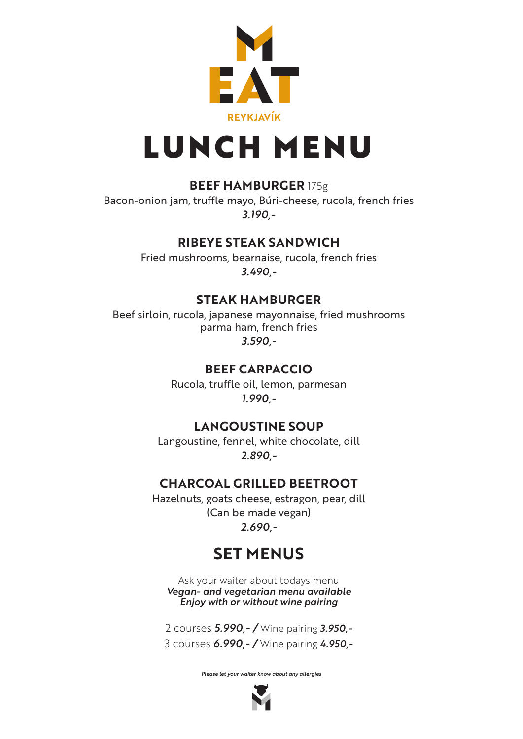

# LUNCH MENU

## **BEEF HAMBURGER** 175g

Bacon-onion jam, truffle mayo, Búri-cheese, rucola, french fries *3.190,-*

## **RIBEYE STEAK SANDWICH**

Fried mushrooms, bearnaise, rucola, french fries *3.490,-*

## **STEAK HAMBURGER**

Beef sirloin, rucola, japanese mayonnaise, fried mushrooms parma ham, french fries *3.590,-*

## **BEEF CARPACCIO**

Rucola, truffle oil, lemon, parmesan *1.990,-*

## **LANGOUSTINE SOUP**

Langoustine, fennel, white chocolate, dill *2.890,-*

# **CHARCOAL GRILLED BEETROOT**

Hazelnuts, goats cheese, estragon, pear, dill (Can be made vegan) *2.690,-*

# **SET MENUS**

Ask your waiter about todays menu *Vegan- and vegetarian menu available Enjoy with or without wine pairing*

2 courses *5.990,- /* Wine pairing *3.950,-* 3 courses *6.990,- /* Wine pairing *4.950,-*

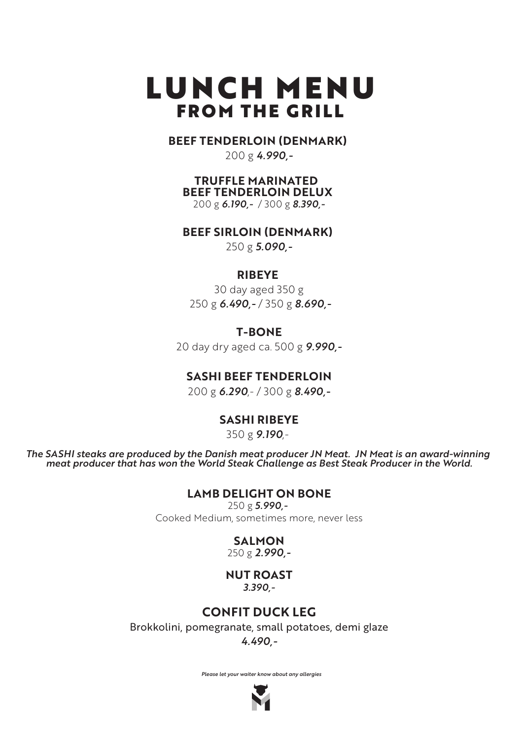# LUNCH MENU FROM THE GRILL

#### **BEEF TENDERLOIN (DENMARK)**

200 g *4.990,-*

#### **TRUFFLE MARINATED BEEF TENDERLOIN DELUX**

200 g *6.190,-* / 300 g *8.390,-*

#### **BEEF SIRLOIN (DENMARK)**

250 g *5.090,-*

#### **RIBEYE**

30 day aged 350 g 250 g *6.490,-* / 350 g *8.690,-*

#### **T-BONE**

20 day dry aged ca. 500 g *9.990,-*

#### **SASHI BEEF TENDERLOIN**

200 g *6.290*,- / 300 g *8.490,-*

#### **SASHI RIBEYE**

350 g *9.190*,-

*The SASHI steaks are produced by the Danish meat producer JN Meat. JN Meat is an award-winning meat producer that has won the World Steak Challenge as Best Steak Producer in the World.*

#### **LAMB DELIGHT ON BONE**

250 g *5.990,-*  Cooked Medium, sometimes more, never less

# **SALMON**

250 g *2.990,-*

#### **NUT ROAST** *3.390,-*

### **CONFIT DUCK LEG**

Brokkolini, pomegranate, small potatoes, demi glaze

*4.490,-*

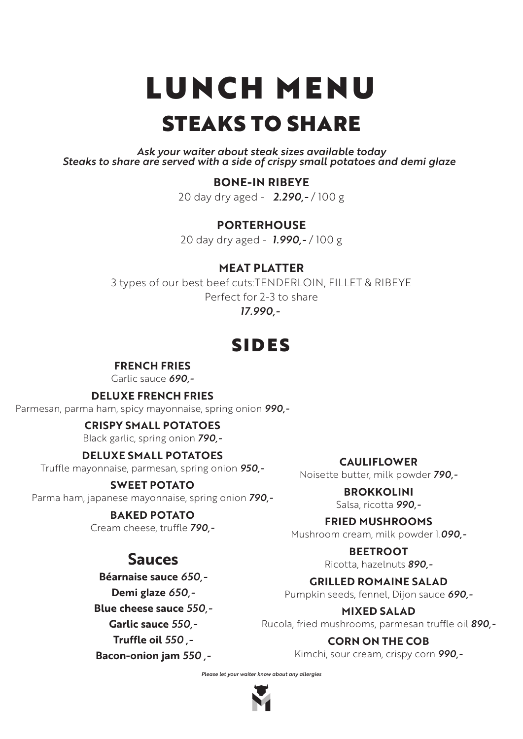# LUNCH MENU STEAKS TO SHARE

*Ask your waiter about steak sizes available today Steaks to share are served with a side of crispy small potatoes and demi glaze* 

#### **BONE-IN RIBEYE**

20 day dry aged - *2.290,-* / 100 g

#### **PORTERHOUSE**

20 day dry aged - *1.990,-* / 100 g

#### **MEAT PLATTER**

3 types of our best beef cuts:TENDERLOIN, FILLET & RIBEYE Perfect for 2-3 to share *17.990,-* 

# SIDES

#### **FRENCH FRIES**

Garlic sauce *690,-*

**DELUXE FRENCH FRIES**

Parmesan, parma ham, spicy mayonnaise, spring onion *990,-*

#### **CRISPY SMALL POTATOES**

Black garlic, spring onion *790,-*

#### **DELUXE SMALL POTATOES**

Truffle mayonnaise, parmesan, spring onion *950,-*

#### **SWEET POTATO**

Parma ham, japanese mayonnaise, spring onion *790,-*

#### **BAKED POTATO**

Cream cheese, truffle *790,-*

# **Sauces**

**Béarnaise sauce** *650,-* **Demi glaze** *650,-* **Blue cheese sauce** *550,-* **Garlic sauce** *550,-* **Truffle oil** *550 ,-* **Bacon-onion jam** *550 ,-*

**CAULIFLOWER** Noisette butter, milk powder *790,-*

#### **BROKKOLINI**

Salsa, ricotta *990,-*

#### **FRIED MUSHROOMS**

Mushroom cream, milk powder 1.*090,-*

#### **BEETROOT**

Ricotta, hazelnuts *890,-*

#### **GRILLED ROMAINE SALAD**

Pumpkin seeds, fennel, Dijon sauce *690,-*

#### **MIXED SALAD**

Rucola, fried mushrooms, parmesan truffle oil *890,-*

#### **CORN ON THE COB**

Kimchi, sour cream, crispy corn *990,-*